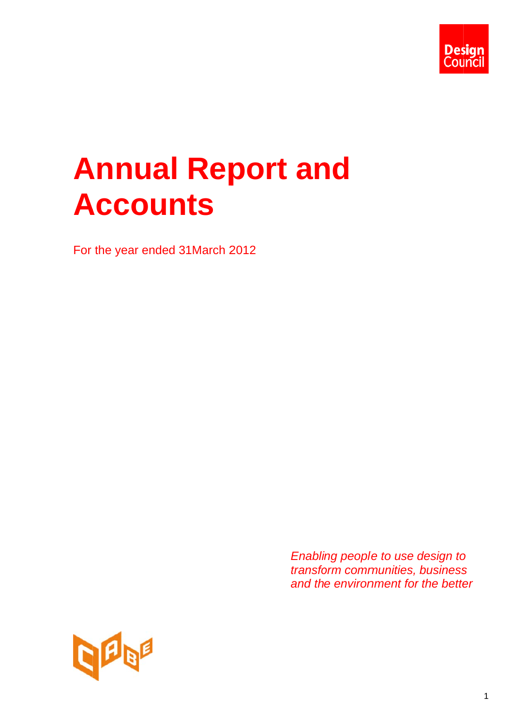

# **Annual Report and A Acco un ts**

For the year ended 3 1March 2 012

*Enabling people to use design to transfo orm comm unities, business Enabling people to use design to<br><i>transform communities, business*<br>and the environment for the better

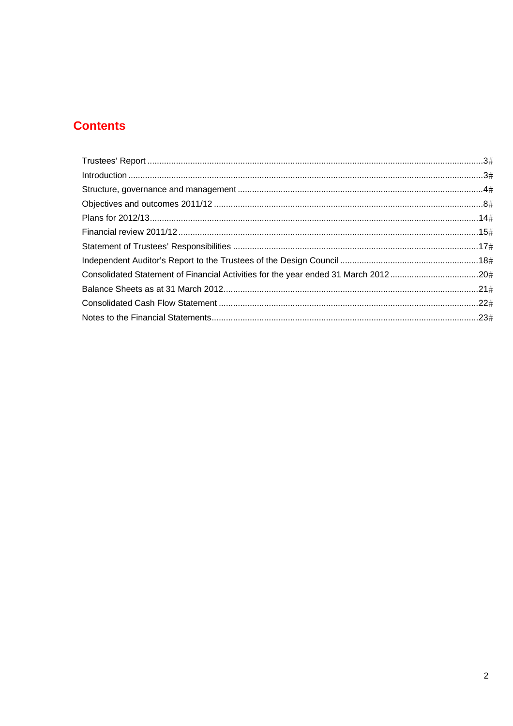# **Contents**

| Consolidated Statement of Financial Activities for the year ended 31 March 201220# |  |
|------------------------------------------------------------------------------------|--|
|                                                                                    |  |
|                                                                                    |  |
|                                                                                    |  |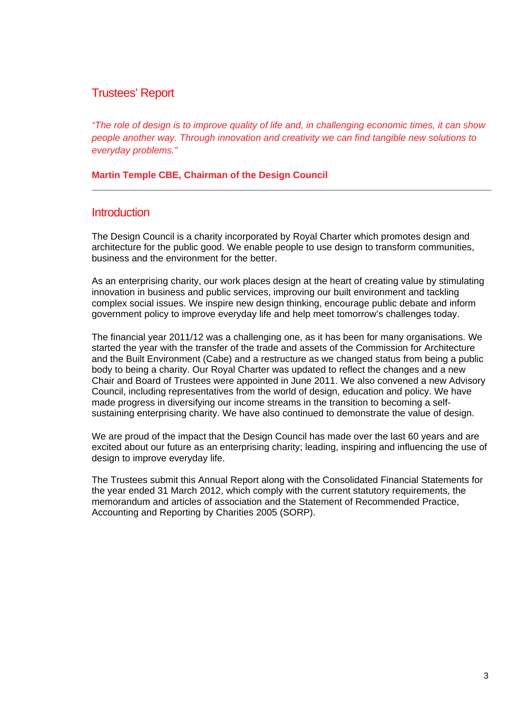# Trustees' Report

*"The role of design is to improve quality of life and, in challenging economic times, it can show people another way. Through innovation and creativity we can find tangible new solutions to everyday problems."* 

**Martin Temple CBE, Chairman of the Design Council** 

# **Introduction**

The Design Council is a charity incorporated by Royal Charter which promotes design and architecture for the public good. We enable people to use design to transform communities, business and the environment for the better.

As an enterprising charity, our work places design at the heart of creating value by stimulating innovation in business and public services, improving our built environment and tackling complex social issues. We inspire new design thinking, encourage public debate and inform government policy to improve everyday life and help meet tomorrow's challenges today.

The financial year 2011/12 was a challenging one, as it has been for many organisations. We started the year with the transfer of the trade and assets of the Commission for Architecture and the Built Environment (Cabe) and a restructure as we changed status from being a public body to being a charity. Our Royal Charter was updated to reflect the changes and a new Chair and Board of Trustees were appointed in June 2011. We also convened a new Advisory Council, including representatives from the world of design, education and policy. We have made progress in diversifying our income streams in the transition to becoming a selfsustaining enterprising charity. We have also continued to demonstrate the value of design.

We are proud of the impact that the Design Council has made over the last 60 years and are excited about our future as an enterprising charity; leading, inspiring and influencing the use of design to improve everyday life.

The Trustees submit this Annual Report along with the Consolidated Financial Statements for the year ended 31 March 2012, which comply with the current statutory requirements, the memorandum and articles of association and the Statement of Recommended Practice, Accounting and Reporting by Charities 2005 (SORP).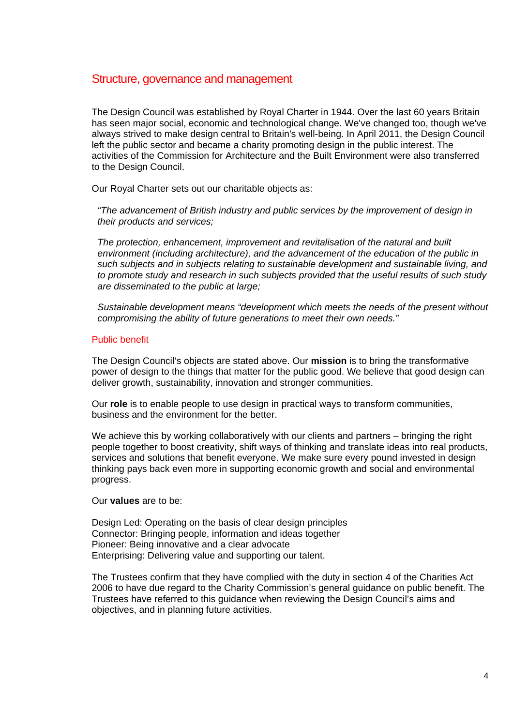# Structure, governance and management

The Design Council was established by Royal Charter in 1944. Over the last 60 years Britain has seen major social, economic and technological change. We've changed too, though we've always strived to make design central to Britain's well-being. In April 2011, the Design Council left the public sector and became a charity promoting design in the public interest. The activities of the Commission for Architecture and the Built Environment were also transferred to the Design Council.

Our Royal Charter sets out our charitable objects as:

*"The advancement of British industry and public services by the improvement of design in their products and services;* 

*The protection, enhancement, improvement and revitalisation of the natural and built environment (including architecture), and the advancement of the education of the public in such subjects and in subjects relating to sustainable development and sustainable living, and to promote study and research in such subjects provided that the useful results of such study are disseminated to the public at large;* 

*Sustainable development means "development which meets the needs of the present without compromising the ability of future generations to meet their own needs."* 

#### Public benefit

The Design Council's objects are stated above. Our **mission** is to bring the transformative power of design to the things that matter for the public good. We believe that good design can deliver growth, sustainability, innovation and stronger communities.

Our **role** is to enable people to use design in practical ways to transform communities, business and the environment for the better.

We achieve this by working collaboratively with our clients and partners – bringing the right people together to boost creativity, shift ways of thinking and translate ideas into real products, services and solutions that benefit everyone. We make sure every pound invested in design thinking pays back even more in supporting economic growth and social and environmental progress.

Our **values** are to be:

Design Led: Operating on the basis of clear design principles Connector: Bringing people, information and ideas together Pioneer: Being innovative and a clear advocate Enterprising: Delivering value and supporting our talent.

The Trustees confirm that they have complied with the duty in section 4 of the Charities Act 2006 to have due regard to the Charity Commission's general guidance on public benefit. The Trustees have referred to this guidance when reviewing the Design Council's aims and objectives, and in planning future activities.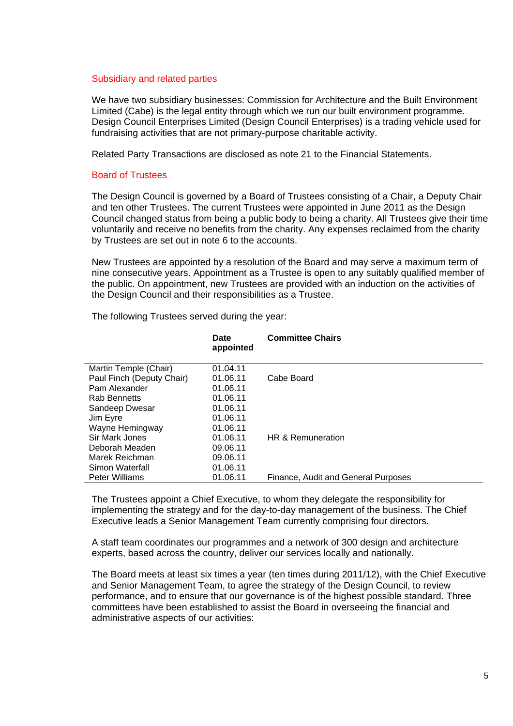#### Subsidiary and related parties

We have two subsidiary businesses: Commission for Architecture and the Built Environment Limited (Cabe) is the legal entity through which we run our built environment programme. Design Council Enterprises Limited (Design Council Enterprises) is a trading vehicle used for fundraising activities that are not primary-purpose charitable activity.

Related Party Transactions are disclosed as note 21 to the Financial Statements.

## Board of Trustees

The Design Council is governed by a Board of Trustees consisting of a Chair, a Deputy Chair and ten other Trustees. The current Trustees were appointed in June 2011 as the Design Council changed status from being a public body to being a charity. All Trustees give their time voluntarily and receive no benefits from the charity. Any expenses reclaimed from the charity by Trustees are set out in note 6 to the accounts.

New Trustees are appointed by a resolution of the Board and may serve a maximum term of nine consecutive years. Appointment as a Trustee is open to any suitably qualified member of the public. On appointment, new Trustees are provided with an induction on the activities of the Design Council and their responsibilities as a Trustee.

|                           | Date<br>appointed | <b>Committee Chairs</b>             |
|---------------------------|-------------------|-------------------------------------|
| Martin Temple (Chair)     | 01.04.11          |                                     |
| Paul Finch (Deputy Chair) | 01.06.11          | Cabe Board                          |
| Pam Alexander             | 01.06.11          |                                     |
| <b>Rab Bennetts</b>       | 01.06.11          |                                     |
| Sandeep Dwesar            | 01.06.11          |                                     |
| Jim Eyre                  | 01.06.11          |                                     |
| Wayne Hemingway           | 01.06.11          |                                     |
| Sir Mark Jones            | 01.06.11          | HR & Remuneration                   |
| Deborah Meaden            | 09.06.11          |                                     |
| Marek Reichman            | 09.06.11          |                                     |
| Simon Waterfall           | 01.06.11          |                                     |
| <b>Peter Williams</b>     | 01.06.11          | Finance, Audit and General Purposes |

The following Trustees served during the year:

The Trustees appoint a Chief Executive, to whom they delegate the responsibility for implementing the strategy and for the day-to-day management of the business. The Chief Executive leads a Senior Management Team currently comprising four directors.

A staff team coordinates our programmes and a network of 300 design and architecture experts, based across the country, deliver our services locally and nationally.

The Board meets at least six times a year (ten times during 2011/12), with the Chief Executive and Senior Management Team, to agree the strategy of the Design Council, to review performance, and to ensure that our governance is of the highest possible standard. Three committees have been established to assist the Board in overseeing the financial and administrative aspects of our activities: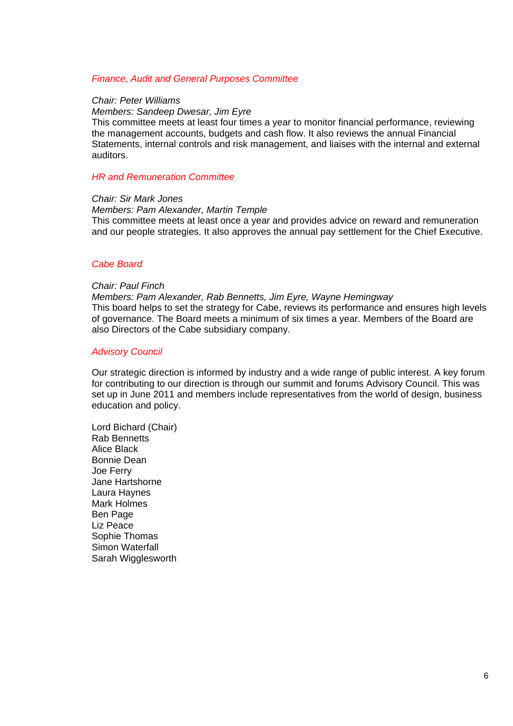#### *Finance, Audit and General Purposes Committee*

#### *Chair: Peter Williams*

#### *Members: Sandeep Dwesar, Jim Eyre*

This committee meets at least four times a year to monitor financial performance, reviewing the management accounts, budgets and cash flow. It also reviews the annual Financial Statements, internal controls and risk management, and liaises with the internal and external auditors.

#### *HR and Remuneration Committee*

#### *Chair: Sir Mark Jones*

#### *Members: Pam Alexander, Martin Temple*

This committee meets at least once a year and provides advice on reward and remuneration and our people strategies. It also approves the annual pay settlement for the Chief Executive.

#### *Cabe Board*

#### *Chair: Paul Finch*

*Members: Pam Alexander, Rab Bennetts, Jim Eyre, Wayne Hemingway*  This board helps to set the strategy for Cabe, reviews its performance and ensures high levels of governance. The Board meets a minimum of six times a year. Members of the Board are also Directors of the Cabe subsidiary company.

#### *Advisory Council*

Our strategic direction is informed by industry and a wide range of public interest. A key forum for contributing to our direction is through our summit and forums Advisory Council. This was set up in June 2011 and members include representatives from the world of design, business education and policy.

Lord Bichard (Chair) Rab Bennetts Alice Black Bonnie Dean Joe Ferry Jane Hartshorne Laura Haynes Mark Holmes Ben Page Liz Peace Sophie Thomas Simon Waterfall Sarah Wigglesworth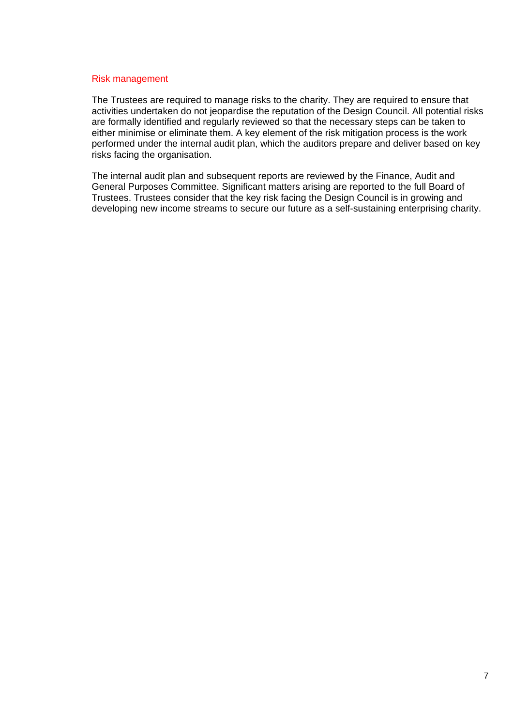#### Risk management

The Trustees are required to manage risks to the charity. They are required to ensure that activities undertaken do not jeopardise the reputation of the Design Council. All potential risks are formally identified and regularly reviewed so that the necessary steps can be taken to either minimise or eliminate them. A key element of the risk mitigation process is the work performed under the internal audit plan, which the auditors prepare and deliver based on key risks facing the organisation.

The internal audit plan and subsequent reports are reviewed by the Finance, Audit and General Purposes Committee. Significant matters arising are reported to the full Board of Trustees. Trustees consider that the key risk facing the Design Council is in growing and developing new income streams to secure our future as a self-sustaining enterprising charity.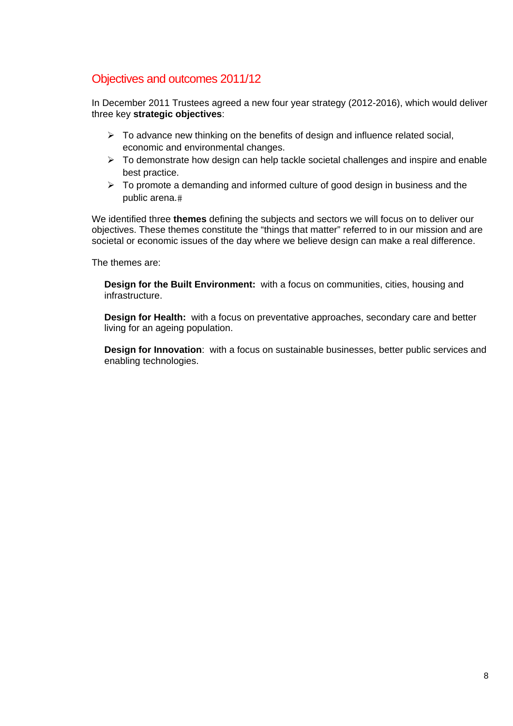# Objectives and outcomes 2011/12

In December 2011 Trustees agreed a new four year strategy (2012-2016), which would deliver three key **strategic objectives**:

- $\triangleright$  To advance new thinking on the benefits of design and influence related social, economic and environmental changes.
- $\triangleright$  To demonstrate how design can help tackle societal challenges and inspire and enable best practice.
- $\triangleright$  To promote a demanding and informed culture of good design in business and the public arena.

We identified three **themes** defining the subjects and sectors we will focus on to deliver our objectives. These themes constitute the "things that matter" referred to in our mission and are societal or economic issues of the day where we believe design can make a real difference.

The themes are:

**Design for the Built Environment:** with a focus on communities, cities, housing and infrastructure.

**Design for Health:** with a focus on preventative approaches, secondary care and better living for an ageing population.

**Design for Innovation**: with a focus on sustainable businesses, better public services and enabling technologies.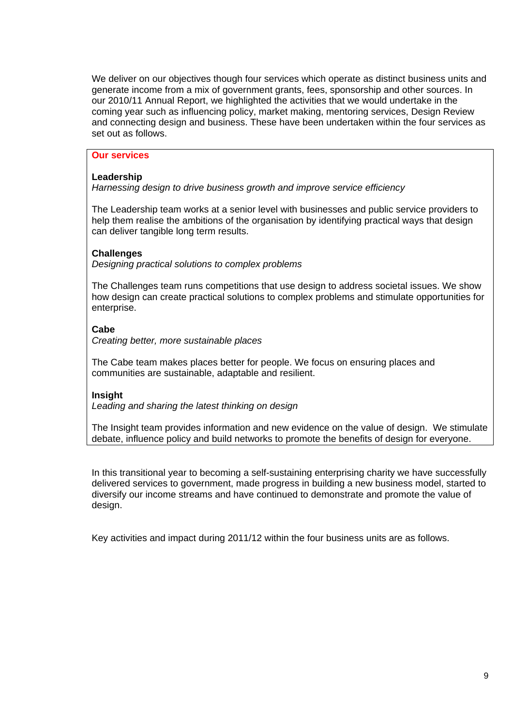We deliver on our objectives though four services which operate as distinct business units and generate income from a mix of government grants, fees, sponsorship and other sources. In our 2010/11 Annual Report, we highlighted the activities that we would undertake in the coming year such as influencing policy, market making, mentoring services, Design Review and connecting design and business. These have been undertaken within the four services as set out as follows.

# **Our services**

# **Leadership**

*Harnessing design to drive business growth and improve service efficiency* 

The Leadership team works at a senior level with businesses and public service providers to help them realise the ambitions of the organisation by identifying practical ways that design can deliver tangible long term results.

# **Challenges**

*Designing practical solutions to complex problems* 

The Challenges team runs competitions that use design to address societal issues. We show how design can create practical solutions to complex problems and stimulate opportunities for enterprise.

# **Cabe**

*Creating better, more sustainable places* 

The Cabe team makes places better for people. We focus on ensuring places and communities are sustainable, adaptable and resilient.

# **Insight**

*Leading and sharing the latest thinking on design* 

The Insight team provides information and new evidence on the value of design. We stimulate debate, influence policy and build networks to promote the benefits of design for everyone.

In this transitional year to becoming a self-sustaining enterprising charity we have successfully delivered services to government, made progress in building a new business model, started to diversify our income streams and have continued to demonstrate and promote the value of design.

Key activities and impact during 2011/12 within the four business units are as follows.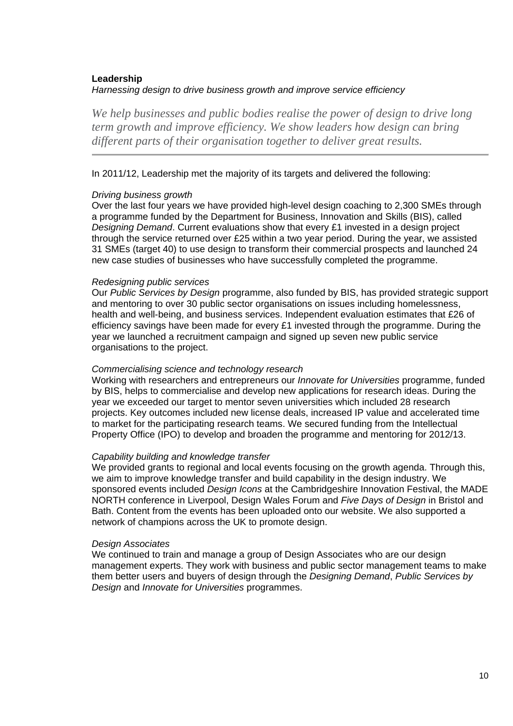# **Leadership**  *Harnessing design to drive business growth and improve service efficiency*

*We help businesses and public bodies realise the power of design to drive long term growth and improve efficiency. We show leaders how design can bring different parts of their organisation together to deliver great results.* 

# In 2011/12, Leadership met the majority of its targets and delivered the following:

#### *Driving business growth*

Over the last four years we have provided high-level design coaching to 2,300 SMEs through a programme funded by the Department for Business, Innovation and Skills (BIS), called *Designing Demand*. Current evaluations show that every £1 invested in a design project through the service returned over £25 within a two year period. During the year, we assisted 31 SMEs (target 40) to use design to transform their commercial prospects and launched 24 new case studies of businesses who have successfully completed the programme.

# *Redesigning public services*

Our *Public Services by Design* programme, also funded by BIS, has provided strategic support and mentoring to over 30 public sector organisations on issues including homelessness, health and well-being, and business services. Independent evaluation estimates that £26 of efficiency savings have been made for every £1 invested through the programme. During the year we launched a recruitment campaign and signed up seven new public service organisations to the project.

#### *Commercialising science and technology research*

Working with researchers and entrepreneurs our *Innovate for Universities* programme, funded by BIS, helps to commercialise and develop new applications for research ideas. During the year we exceeded our target to mentor seven universities which included 28 research projects. Key outcomes included new license deals, increased IP value and accelerated time to market for the participating research teams. We secured funding from the Intellectual Property Office (IPO) to develop and broaden the programme and mentoring for 2012/13.

# *Capability building and knowledge transfer*

We provided grants to regional and local events focusing on the growth agenda. Through this, we aim to improve knowledge transfer and build capability in the design industry. We sponsored events included *Design Icons* at the Cambridgeshire Innovation Festival, the MADE NORTH conference in Liverpool, Design Wales Forum and *Five Days of Design* in Bristol and Bath. Content from the events has been uploaded onto our website. We also supported a network of champions across the UK to promote design.

#### *Design Associates*

We continued to train and manage a group of Design Associates who are our design management experts. They work with business and public sector management teams to make them better users and buyers of design through the *Designing Demand*, *Public Services by Design* and *Innovate for Universities* programmes.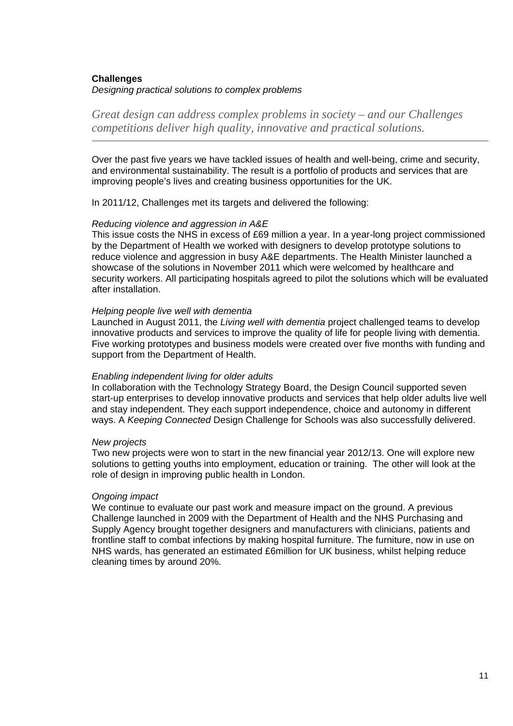# **Challenges**  *Designing practical solutions to complex problems*

*Great design can address complex problems in society – and our Challenges competitions deliver high quality, innovative and practical solutions.* 

Over the past five years we have tackled issues of health and well-being, crime and security, and environmental sustainability. The result is a portfolio of products and services that are improving people's lives and creating business opportunities for the UK.

In 2011/12, Challenges met its targets and delivered the following:

# *Reducing violence and aggression in A&E*

This issue costs the NHS in excess of £69 million a year. In a year-long project commissioned by the Department of Health we worked with designers to develop prototype solutions to reduce violence and aggression in busy A&E departments. The Health Minister launched a showcase of the solutions in November 2011 which were welcomed by healthcare and security workers. All participating hospitals agreed to pilot the solutions which will be evaluated after installation.

#### *Helping people live well with dementia*

Launched in August 2011, the *Living well with dementia* project challenged teams to develop innovative products and services to improve the quality of life for people living with dementia. Five working prototypes and business models were created over five months with funding and support from the Department of Health.

#### *Enabling independent living for older adults*

In collaboration with the Technology Strategy Board, the Design Council supported seven start-up enterprises to develop innovative products and services that help older adults live well and stay independent. They each support independence, choice and autonomy in different ways. A *Keeping Connected* Design Challenge for Schools was also successfully delivered.

# *New projects*

Two new projects were won to start in the new financial year 2012/13. One will explore new solutions to getting youths into employment, education or training. The other will look at the role of design in improving public health in London.

# *Ongoing impact*

We continue to evaluate our past work and measure impact on the ground. A previous Challenge launched in 2009 with the Department of Health and the NHS Purchasing and Supply Agency brought together designers and manufacturers with clinicians, patients and frontline staff to combat infections by making hospital furniture. The furniture, now in use on NHS wards, has generated an estimated £6million for UK business, whilst helping reduce cleaning times by around 20%.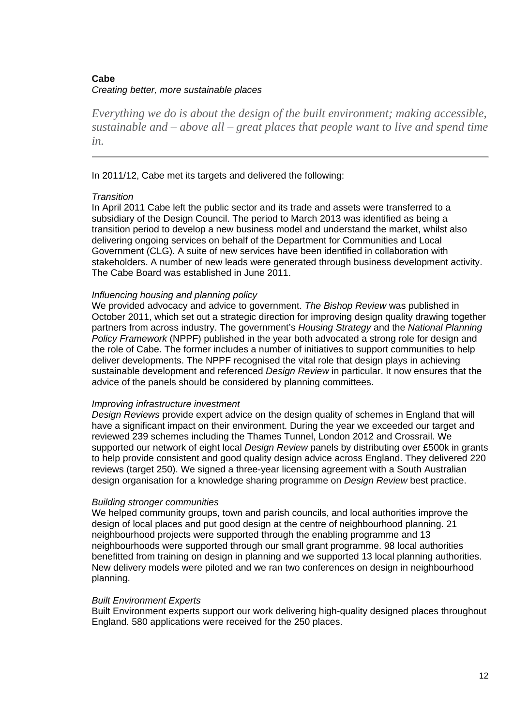# **Cabe**  *Creating better, more sustainable places*

*Everything we do is about the design of the built environment; making accessible, sustainable and – above all – great places that people want to live and spend time in.* 

# In 2011/12, Cabe met its targets and delivered the following:

#### *Transition*

In April 2011 Cabe left the public sector and its trade and assets were transferred to a subsidiary of the Design Council. The period to March 2013 was identified as being a transition period to develop a new business model and understand the market, whilst also delivering ongoing services on behalf of the Department for Communities and Local Government (CLG). A suite of new services have been identified in collaboration with stakeholders. A number of new leads were generated through business development activity. The Cabe Board was established in June 2011.

# *Influencing housing and planning policy*

We provided advocacy and advice to government. *The Bishop Review* was published in October 2011, which set out a strategic direction for improving design quality drawing together partners from across industry. The government's *Housing Strategy* and the *National Planning Policy Framework* (NPPF) published in the year both advocated a strong role for design and the role of Cabe. The former includes a number of initiatives to support communities to help deliver developments. The NPPF recognised the vital role that design plays in achieving sustainable development and referenced *Design Review* in particular. It now ensures that the advice of the panels should be considered by planning committees.

#### *Improving infrastructure investment*

*Design Reviews* provide expert advice on the design quality of schemes in England that will have a significant impact on their environment. During the year we exceeded our target and reviewed 239 schemes including the Thames Tunnel, London 2012 and Crossrail. We supported our network of eight local *Design Review* panels by distributing over £500k in grants to help provide consistent and good quality design advice across England. They delivered 220 reviews (target 250). We signed a three-year licensing agreement with a South Australian design organisation for a knowledge sharing programme on *Design Review* best practice.

# *Building stronger communities*

We helped community groups, town and parish councils, and local authorities improve the design of local places and put good design at the centre of neighbourhood planning. 21 neighbourhood projects were supported through the enabling programme and 13 neighbourhoods were supported through our small grant programme. 98 local authorities benefitted from training on design in planning and we supported 13 local planning authorities. New delivery models were piloted and we ran two conferences on design in neighbourhood planning.

# *Built Environment Experts*

Built Environment experts support our work delivering high-quality designed places throughout England. 580 applications were received for the 250 places.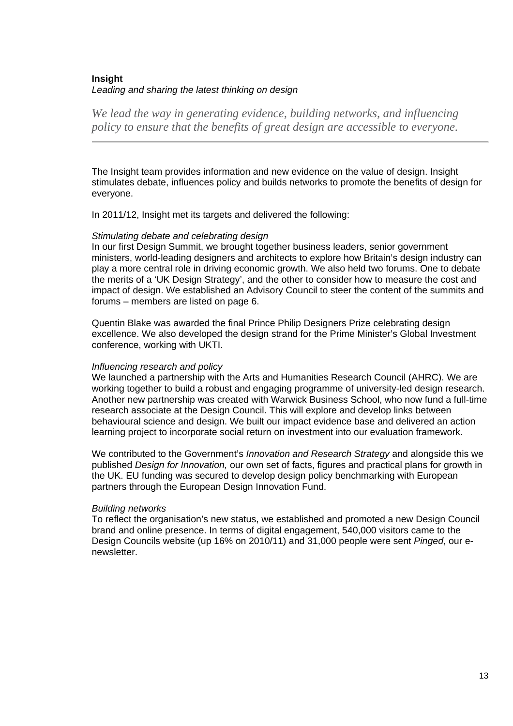# **Insight**  *Leading and sharing the latest thinking on design*

*We lead the way in generating evidence, building networks, and influencing policy to ensure that the benefits of great design are accessible to everyone.* 

The Insight team provides information and new evidence on the value of design. Insight stimulates debate, influences policy and builds networks to promote the benefits of design for everyone.

In 2011/12, Insight met its targets and delivered the following:

# *Stimulating debate and celebrating design*

In our first Design Summit, we brought together business leaders, senior government ministers, world-leading designers and architects to explore how Britain's design industry can play a more central role in driving economic growth. We also held two forums. One to debate the merits of a 'UK Design Strategy', and the other to consider how to measure the cost and impact of design. We established an Advisory Council to steer the content of the summits and forums – members are listed on page 6.

Quentin Blake was awarded the final Prince Philip Designers Prize celebrating design excellence. We also developed the design strand for the Prime Minister's Global Investment conference, working with UKTI.

# *Influencing research and policy*

We launched a partnership with the Arts and Humanities Research Council (AHRC). We are working together to build a robust and engaging programme of university-led design research. Another new partnership was created with Warwick Business School, who now fund a full-time research associate at the Design Council. This will explore and develop links between behavioural science and design. We built our impact evidence base and delivered an action learning project to incorporate social return on investment into our evaluation framework.

We contributed to the Government's *Innovation and Research Strategy* and alongside this we published *Design for Innovation,* our own set of facts, figures and practical plans for growth in the UK. EU funding was secured to develop design policy benchmarking with European partners through the European Design Innovation Fund.

# *Building networks*

To reflect the organisation's new status, we established and promoted a new Design Council brand and online presence. In terms of digital engagement, 540,000 visitors came to the Design Councils website (up 16% on 2010/11) and 31,000 people were sent *Pinged*, our enewsletter.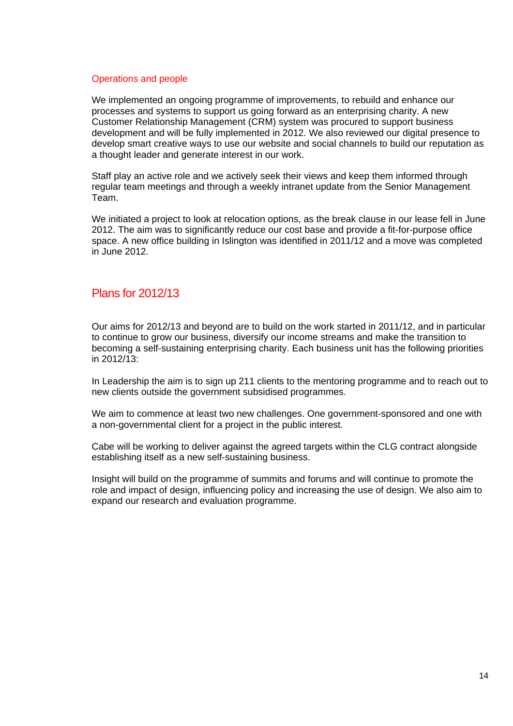## Operations and people

We implemented an ongoing programme of improvements, to rebuild and enhance our processes and systems to support us going forward as an enterprising charity. A new Customer Relationship Management (CRM) system was procured to support business development and will be fully implemented in 2012. We also reviewed our digital presence to develop smart creative ways to use our website and social channels to build our reputation as a thought leader and generate interest in our work.

Staff play an active role and we actively seek their views and keep them informed through regular team meetings and through a weekly intranet update from the Senior Management Team.

We initiated a project to look at relocation options, as the break clause in our lease fell in June 2012. The aim was to significantly reduce our cost base and provide a fit-for-purpose office space. A new office building in Islington was identified in 2011/12 and a move was completed in June 2012.

# Plans for 2012/13

Our aims for 2012/13 and beyond are to build on the work started in 2011/12, and in particular to continue to grow our business, diversify our income streams and make the transition to becoming a self-sustaining enterprising charity. Each business unit has the following priorities in 2012/13:

In Leadership the aim is to sign up 211 clients to the mentoring programme and to reach out to new clients outside the government subsidised programmes.

We aim to commence at least two new challenges. One government-sponsored and one with a non-governmental client for a project in the public interest.

Cabe will be working to deliver against the agreed targets within the CLG contract alongside establishing itself as a new self-sustaining business.

Insight will build on the programme of summits and forums and will continue to promote the role and impact of design, influencing policy and increasing the use of design. We also aim to expand our research and evaluation programme.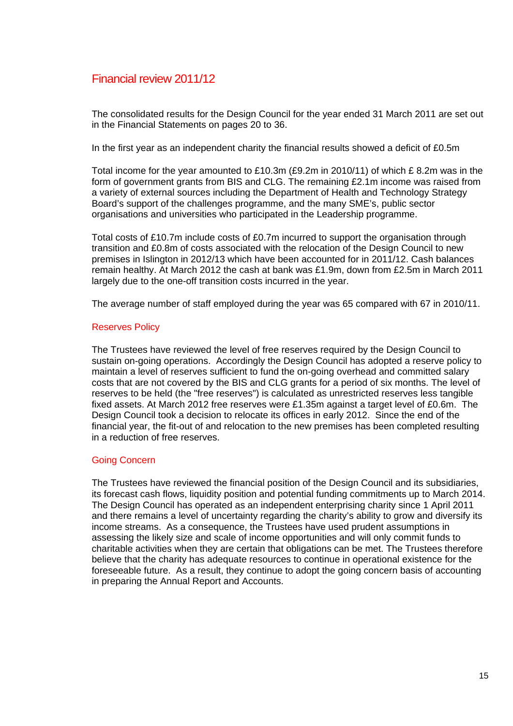# Financial review 2011/12

The consolidated results for the Design Council for the year ended 31 March 2011 are set out in the Financial Statements on pages 20 to 36.

In the first year as an independent charity the financial results showed a deficit of £0.5m

Total income for the year amounted to £10.3m (£9.2m in 2010/11) of which £ 8.2m was in the form of government grants from BIS and CLG. The remaining £2.1m income was raised from a variety of external sources including the Department of Health and Technology Strategy Board's support of the challenges programme, and the many SME's, public sector organisations and universities who participated in the Leadership programme.

Total costs of £10.7m include costs of £0.7m incurred to support the organisation through transition and £0.8m of costs associated with the relocation of the Design Council to new premises in Islington in 2012/13 which have been accounted for in 2011/12. Cash balances remain healthy. At March 2012 the cash at bank was £1.9m, down from £2.5m in March 2011 largely due to the one-off transition costs incurred in the year.

The average number of staff employed during the year was 65 compared with 67 in 2010/11.

# Reserves Policy

The Trustees have reviewed the level of free reserves required by the Design Council to sustain on-going operations. Accordingly the Design Council has adopted a reserve policy to maintain a level of reserves sufficient to fund the on-going overhead and committed salary costs that are not covered by the BIS and CLG grants for a period of six months. The level of reserves to be held (the "free reserves") is calculated as unrestricted reserves less tangible fixed assets. At March 2012 free reserves were £1.35m against a target level of £0.6m. The Design Council took a decision to relocate its offices in early 2012. Since the end of the financial year, the fit-out of and relocation to the new premises has been completed resulting in a reduction of free reserves.

# Going Concern

The Trustees have reviewed the financial position of the Design Council and its subsidiaries, its forecast cash flows, liquidity position and potential funding commitments up to March 2014. The Design Council has operated as an independent enterprising charity since 1 April 2011 and there remains a level of uncertainty regarding the charity's ability to grow and diversify its income streams. As a consequence, the Trustees have used prudent assumptions in assessing the likely size and scale of income opportunities and will only commit funds to charitable activities when they are certain that obligations can be met. The Trustees therefore believe that the charity has adequate resources to continue in operational existence for the foreseeable future. As a result, they continue to adopt the going concern basis of accounting in preparing the Annual Report and Accounts.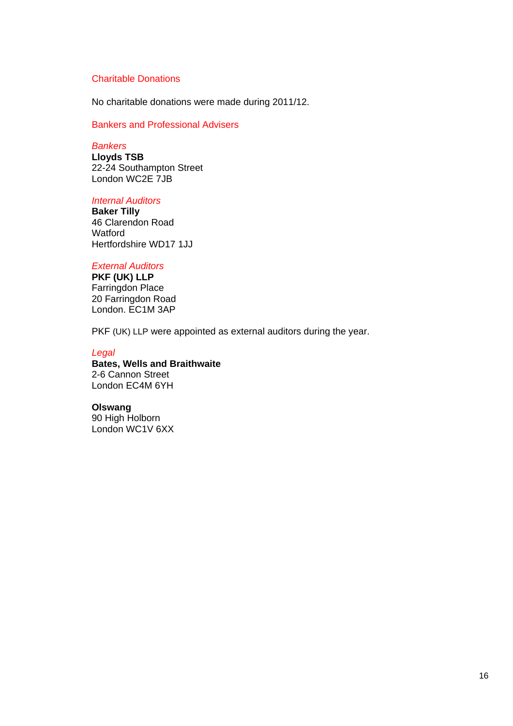# Charitable Donations

No charitable donations were made during 2011/12.

# Bankers and Professional Advisers

# *Bankers*

**Lloyds TSB**  22-24 Southampton Street London WC2E 7JB

#### *Internal Auditors*

**Baker Tilly**  46 Clarendon Road **Watford** Hertfordshire WD17 1JJ

#### *External Auditors*

**PKF (UK) LLP**  Farringdon Place 20 Farringdon Road London. EC1M 3AP

PKF (UK) LLP were appointed as external auditors during the year.

#### *Legal*

#### **Bates, Wells and Braithwaite**  2-6 Cannon Street London EC4M 6YH

#### **Olswang**

90 High Holborn London WC1V 6XX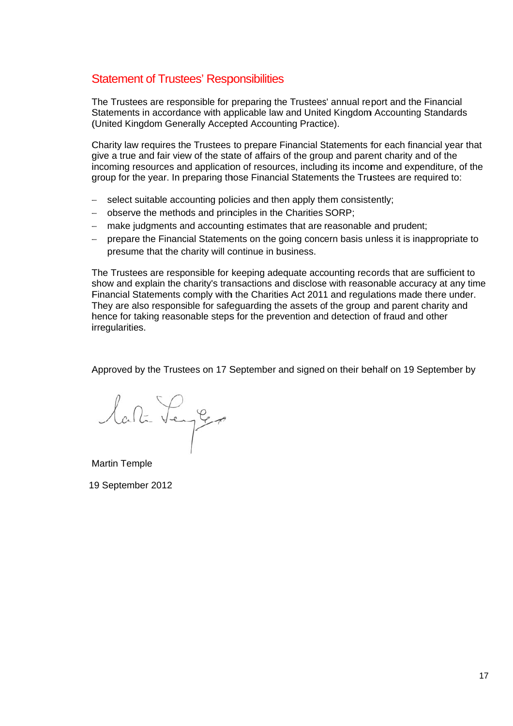# Statement of Trustees' Responsibilities

The Trustees are responsible for preparing the Trustees' annual report and the Financial Statements in accordance with applicable law and United Kingdom Accounting Standards (United Kingdom Generally Accepted Accounting Practice). Statements in accordance with applicable law and United Kingdom Accounting Standards<br>(United Kingdom Generally Accepted Accounting Practice).<br>Charity law requires the Trustees to prepare Financial Statements for each finan

give a true and fair view of the state of affairs of the group and parent charity and of the incoming resources and application of resources, including its income and expenditure, of the group for the year. In preparing those Financial Statements the Trustees are required to:

- − select suitable accounting policies and then apply them consistently;
- − observe the methods and principles in the Charities SORP;
- − make judgments and accounting estimates that are reasonable and prudent;
- − prepare the Financial Statements on the going concern basis unless it is inappropriate to presume that the charity will continue in business.

The Trustees are responsible for keeping adequate accounting records that are sufficient to show and explain the charity's transactions and disclose with reasonable accuracy at any time Financial Statements comply with the Charities Act 2011 and regulations made there under. They are also responsible for safeguarding the assets of the group and parent charity and hence for taking reasonable steps for the prevention and detection of fraud and other i irregularities s. They are also responsible for safeguarding the assets of the group and parent charity and<br>hence for taking reasonable steps for the prevention and detection of fraud and other<br>irregularities.<br>Approved by the Trustees on 17

lati Senger

Martin Temple

1 9 Septemb ber 2012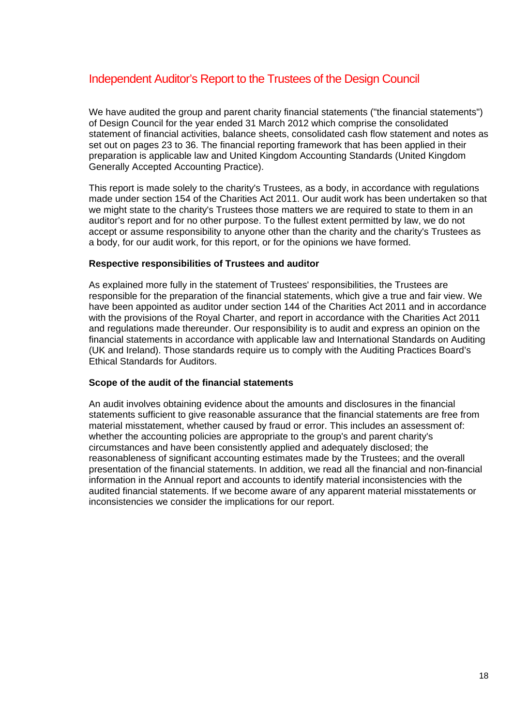# Independent Auditor's Report to the Trustees of the Design Council

We have audited the group and parent charity financial statements ("the financial statements") of Design Council for the year ended 31 March 2012 which comprise the consolidated statement of financial activities, balance sheets, consolidated cash flow statement and notes as set out on pages 23 to 36. The financial reporting framework that has been applied in their preparation is applicable law and United Kingdom Accounting Standards (United Kingdom Generally Accepted Accounting Practice).

This report is made solely to the charity's Trustees, as a body, in accordance with regulations made under section 154 of the Charities Act 2011. Our audit work has been undertaken so that we might state to the charity's Trustees those matters we are required to state to them in an auditor's report and for no other purpose. To the fullest extent permitted by law, we do not accept or assume responsibility to anyone other than the charity and the charity's Trustees as a body, for our audit work, for this report, or for the opinions we have formed.

# **Respective responsibilities of Trustees and auditor**

As explained more fully in the statement of Trustees' responsibilities, the Trustees are responsible for the preparation of the financial statements, which give a true and fair view. We have been appointed as auditor under section 144 of the Charities Act 2011 and in accordance with the provisions of the Royal Charter, and report in accordance with the Charities Act 2011 and regulations made thereunder. Our responsibility is to audit and express an opinion on the financial statements in accordance with applicable law and International Standards on Auditing (UK and Ireland). Those standards require us to comply with the Auditing Practices Board's Ethical Standards for Auditors.

# **Scope of the audit of the financial statements**

An audit involves obtaining evidence about the amounts and disclosures in the financial statements sufficient to give reasonable assurance that the financial statements are free from material misstatement, whether caused by fraud or error. This includes an assessment of: whether the accounting policies are appropriate to the group's and parent charity's circumstances and have been consistently applied and adequately disclosed; the reasonableness of significant accounting estimates made by the Trustees; and the overall presentation of the financial statements. In addition, we read all the financial and non-financial information in the Annual report and accounts to identify material inconsistencies with the audited financial statements. If we become aware of any apparent material misstatements or inconsistencies we consider the implications for our report.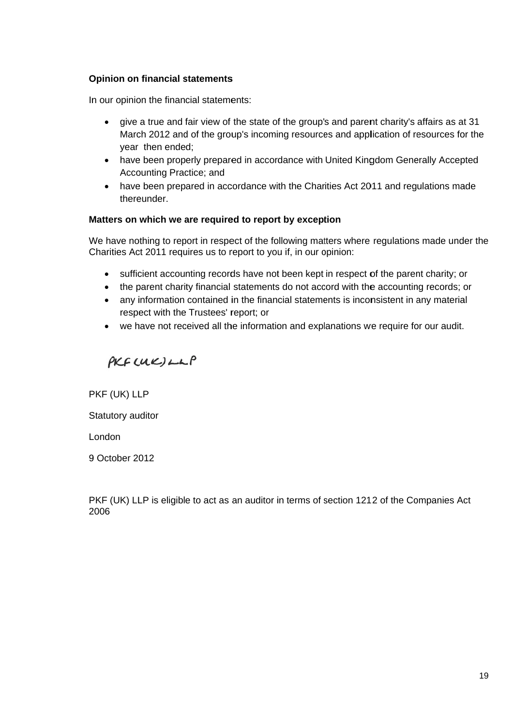# **Opinion on financial statements**

In our opinion the financial statements:

- give a true and fair view of the state of the group's and parent charity's affairs as at 31 March 2012 and of the group's incoming resources and application of resources for the year then ende d;
- have been properly prepared in accordance with United Kingdom Generally Accepted Accounting Practice; and
- have been prepared in accordance with the Charities Act 2011 and regulations made thereunder.

# **Matters on which we are required to report by exception**

We have nothing to report in respect of the following matters where regulations made under the Charities Act 2011 requires us to report to you if, in our opinion:

- sufficient accounting records have not been kept in respect of the parent charity; or
- the parent charity financial statements do not accord with the accounting records; or
- any information contained in the financial statements is inconsistent in any material respect with the Trustees' report; or
- we have not received all the information and explanations we require for our audit.

 $PKF(UK)LLP$ 

P PKF (UK) LL LP

Statutory auditor

L London

9 October 2012

PKF (UK) LLP is eligible to act as an auditor in terms of section 1212 of the Companies Act 2 2006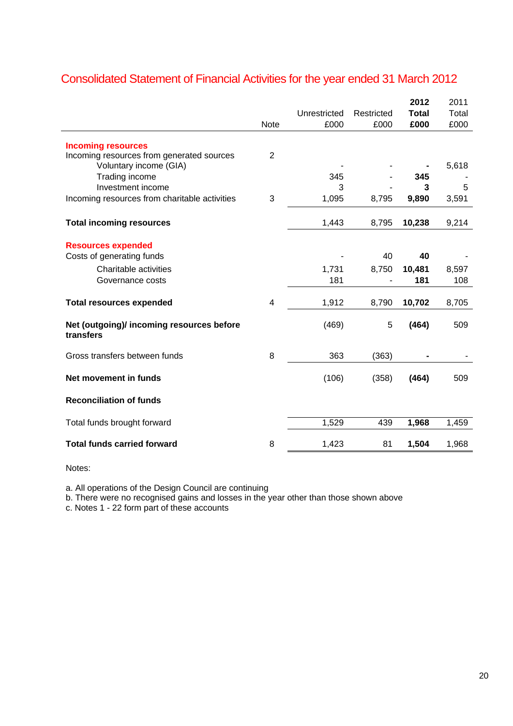|                                                                        | <b>Note</b>             | Unrestricted<br>£000 | Restricted<br>£000 | 2012<br><b>Total</b><br>£000 | 2011<br>Total<br>£000 |
|------------------------------------------------------------------------|-------------------------|----------------------|--------------------|------------------------------|-----------------------|
|                                                                        |                         |                      |                    |                              |                       |
| <b>Incoming resources</b><br>Incoming resources from generated sources | $\overline{2}$          |                      |                    |                              |                       |
| Voluntary income (GIA)                                                 |                         |                      |                    |                              | 5,618                 |
| Trading income                                                         |                         | 345                  |                    | 345                          |                       |
| Investment income                                                      |                         | 3                    |                    | 3                            | 5                     |
| Incoming resources from charitable activities                          | 3                       | 1,095                | 8,795              | 9,890                        | 3,591                 |
| <b>Total incoming resources</b>                                        |                         | 1,443                | 8,795              | 10,238                       | 9,214                 |
|                                                                        |                         |                      |                    |                              |                       |
| <b>Resources expended</b>                                              |                         |                      |                    |                              |                       |
| Costs of generating funds                                              |                         |                      | 40                 | 40                           |                       |
| Charitable activities                                                  |                         | 1,731                | 8,750              | 10,481                       | 8,597                 |
| Governance costs                                                       |                         | 181                  |                    | 181                          | 108                   |
| <b>Total resources expended</b>                                        | $\overline{\mathbf{4}}$ | 1,912                | 8,790              | 10,702                       | 8,705                 |
| Net (outgoing)/ incoming resources before<br>transfers                 |                         | (469)                | 5                  | (464)                        | 509                   |
| Gross transfers between funds                                          | 8                       | 363                  | (363)              |                              |                       |
| Net movement in funds                                                  |                         | (106)                | (358)              | (464)                        | 509                   |
| <b>Reconciliation of funds</b>                                         |                         |                      |                    |                              |                       |
| Total funds brought forward                                            |                         | 1,529                | 439                | 1,968                        | 1,459                 |
| <b>Total funds carried forward</b>                                     | 8                       | 1,423                | 81                 | 1,504                        | 1,968                 |

# Consolidated Statement of Financial Activities for the year ended 31 March 2012

Notes:

a. All operations of the Design Council are continuing

b. There were no recognised gains and losses in the year other than those shown above

c. Notes 1 - 22 form part of these accounts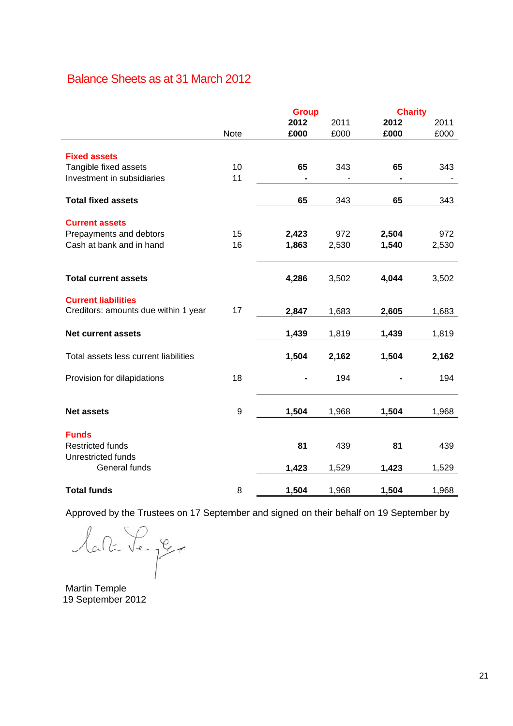# Balance Sheets as at 31 March 2012

|                                       |                  | <b>Group</b> |       | <b>Charity</b> |       |
|---------------------------------------|------------------|--------------|-------|----------------|-------|
|                                       |                  | 2012         | 2011  | 2012           | 2011  |
|                                       | Note             | £000         | £000  | £000           | £000  |
|                                       |                  |              |       |                |       |
| <b>Fixed assets</b>                   |                  |              |       |                |       |
| Tangible fixed assets                 | 10               | 65           | 343   | 65             | 343   |
| Investment in subsidiaries            | 11               |              |       |                |       |
| <b>Total fixed assets</b>             |                  | 65           | 343   | 65             | 343   |
| <b>Current assets</b>                 |                  |              |       |                |       |
| Prepayments and debtors               | 15               | 2,423        | 972   | 2,504          | 972   |
| Cash at bank and in hand              | 16               | 1,863        | 2,530 | 1,540          | 2,530 |
|                                       |                  |              |       |                |       |
| <b>Total current assets</b>           |                  | 4,286        | 3,502 | 4,044          | 3,502 |
| <b>Current liabilities</b>            |                  |              |       |                |       |
| Creditors: amounts due within 1 year  | 17               | 2,847        | 1,683 | 2,605          | 1,683 |
| <b>Net current assets</b>             |                  | 1,439        | 1,819 | 1,439          | 1,819 |
|                                       |                  |              |       |                |       |
| Total assets less current liabilities |                  | 1,504        | 2,162 | 1,504          | 2,162 |
| Provision for dilapidations           | 18               |              | 194   |                | 194   |
|                                       |                  |              |       |                |       |
| <b>Net assets</b>                     | $\boldsymbol{9}$ | 1,504        | 1,968 | 1,504          | 1,968 |
|                                       |                  |              |       |                |       |
| <b>Funds</b>                          |                  |              |       |                |       |
| <b>Restricted funds</b>               |                  | 81           | 439   | 81             | 439   |
| Unrestricted funds                    |                  |              |       |                |       |
| General funds                         |                  | 1,423        | 1,529 | 1,423          | 1,529 |
| <b>Total funds</b>                    | 8                | 1,504        | 1,968 | 1,504          | 1,968 |

Approved by the Trustees on 17 September and signed on their behalf on 19 September by

lata Lenger

Martin Temple 19 Sep tember 201 12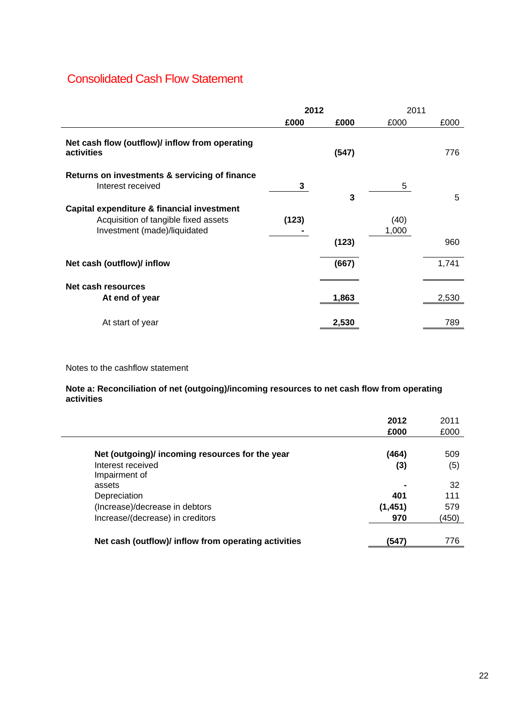# Consolidated Cash Flow Statement

|                                                                    | 2012  |       | 2011  |       |
|--------------------------------------------------------------------|-------|-------|-------|-------|
|                                                                    | £000  | £000  | £000  | £000  |
| Net cash flow (outflow)/ inflow from operating<br>activities       |       | (547) |       | 776   |
| Returns on investments & servicing of finance<br>Interest received | 3     | 3     | 5     | 5     |
| Capital expenditure & financial investment                         |       |       |       |       |
| Acquisition of tangible fixed assets                               | (123) |       | (40)  |       |
| Investment (made)/liquidated                                       |       |       | 1,000 |       |
|                                                                    |       | (123) |       | 960   |
| Net cash (outflow)/ inflow                                         |       | (667) |       | 1,741 |
| Net cash resources                                                 |       |       |       |       |
| At end of year                                                     |       | 1,863 |       | 2,530 |
| At start of year                                                   |       | 2,530 |       | 789   |

Notes to the cashflow statement

## **Note a: Reconciliation of net (outgoing)/incoming resources to net cash flow from operating activities**

|                                                      | 2012     | 2011  |
|------------------------------------------------------|----------|-------|
|                                                      | £000     | £000  |
|                                                      |          |       |
| Net (outgoing)/ incoming resources for the year      | (464)    | 509   |
| Interest received                                    | (3)      | (5)   |
| Impairment of                                        |          |       |
| assets                                               |          | 32    |
| Depreciation                                         | 401      | 111   |
| (Increase)/decrease in debtors                       | (1, 451) | 579   |
| Increase/(decrease) in creditors                     | 970      | (450) |
| Net cash (outflow)/ inflow from operating activities | (547)    | 776   |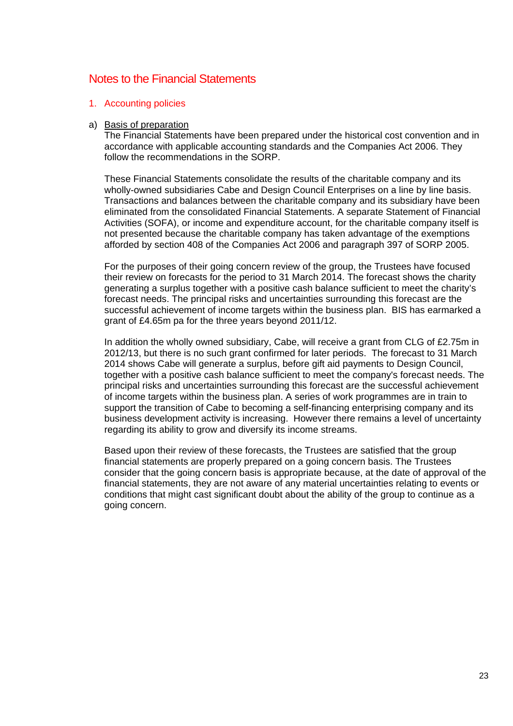# Notes to the Financial Statements

## 1. Accounting policies

#### a) Basis of preparation

The Financial Statements have been prepared under the historical cost convention and in accordance with applicable accounting standards and the Companies Act 2006. They follow the recommendations in the SORP

These Financial Statements consolidate the results of the charitable company and its wholly-owned subsidiaries Cabe and Design Council Enterprises on a line by line basis. Transactions and balances between the charitable company and its subsidiary have been eliminated from the consolidated Financial Statements. A separate Statement of Financial Activities (SOFA), or income and expenditure account, for the charitable company itself is not presented because the charitable company has taken advantage of the exemptions afforded by section 408 of the Companies Act 2006 and paragraph 397 of SORP 2005.

For the purposes of their going concern review of the group, the Trustees have focused their review on forecasts for the period to 31 March 2014. The forecast shows the charity generating a surplus together with a positive cash balance sufficient to meet the charity's forecast needs. The principal risks and uncertainties surrounding this forecast are the successful achievement of income targets within the business plan. BIS has earmarked a grant of £4.65m pa for the three years beyond 2011/12.

In addition the wholly owned subsidiary, Cabe, will receive a grant from CLG of £2.75m in 2012/13, but there is no such grant confirmed for later periods. The forecast to 31 March 2014 shows Cabe will generate a surplus, before gift aid payments to Design Council, together with a positive cash balance sufficient to meet the company's forecast needs. The principal risks and uncertainties surrounding this forecast are the successful achievement of income targets within the business plan. A series of work programmes are in train to support the transition of Cabe to becoming a self-financing enterprising company and its business development activity is increasing. However there remains a level of uncertainty regarding its ability to grow and diversify its income streams.

Based upon their review of these forecasts, the Trustees are satisfied that the group financial statements are properly prepared on a going concern basis. The Trustees consider that the going concern basis is appropriate because, at the date of approval of the financial statements, they are not aware of any material uncertainties relating to events or conditions that might cast significant doubt about the ability of the group to continue as a going concern.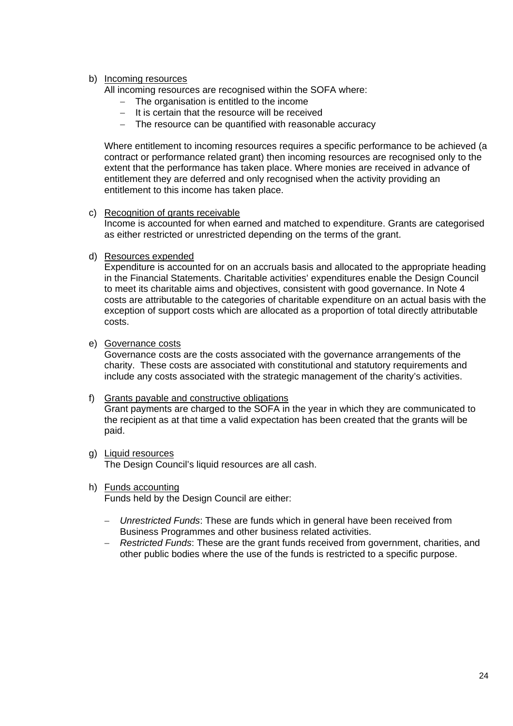# b) Incoming resources

All incoming resources are recognised within the SOFA where:

- − The organisation is entitled to the income
- − It is certain that the resource will be received
- − The resource can be quantified with reasonable accuracy

Where entitlement to incoming resources requires a specific performance to be achieved (a contract or performance related grant) then incoming resources are recognised only to the extent that the performance has taken place. Where monies are received in advance of entitlement they are deferred and only recognised when the activity providing an entitlement to this income has taken place.

c) Recognition of grants receivable

Income is accounted for when earned and matched to expenditure. Grants are categorised as either restricted or unrestricted depending on the terms of the grant.

d) Resources expended

Expenditure is accounted for on an accruals basis and allocated to the appropriate heading in the Financial Statements. Charitable activities' expenditures enable the Design Council to meet its charitable aims and objectives, consistent with good governance. In Note 4 costs are attributable to the categories of charitable expenditure on an actual basis with the exception of support costs which are allocated as a proportion of total directly attributable costs.

e) Governance costs

Governance costs are the costs associated with the governance arrangements of the charity. These costs are associated with constitutional and statutory requirements and include any costs associated with the strategic management of the charity's activities.

# f) Grants payable and constructive obligations

Grant payments are charged to the SOFA in the year in which they are communicated to the recipient as at that time a valid expectation has been created that the grants will be paid.

- g) Liquid resources The Design Council's liquid resources are all cash.
- h) Funds accounting

Funds held by the Design Council are either:

- − *Unrestricted Funds*: These are funds which in general have been received from Business Programmes and other business related activities.
- − *Restricted Funds*: These are the grant funds received from government, charities, and other public bodies where the use of the funds is restricted to a specific purpose.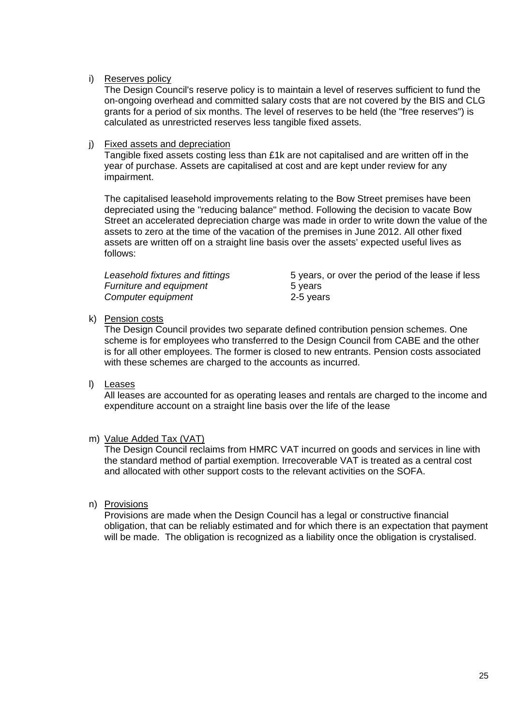# i) Reserves policy

The Design Council's reserve policy is to maintain a level of reserves sufficient to fund the on-ongoing overhead and committed salary costs that are not covered by the BIS and CLG grants for a period of six months. The level of reserves to be held (the "free reserves") is calculated as unrestricted reserves less tangible fixed assets.

# j) Fixed assets and depreciation

Tangible fixed assets costing less than £1k are not capitalised and are written off in the year of purchase. Assets are capitalised at cost and are kept under review for any impairment.

The capitalised leasehold improvements relating to the Bow Street premises have been depreciated using the "reducing balance" method. Following the decision to vacate Bow Street an accelerated depreciation charge was made in order to write down the value of the assets to zero at the time of the vacation of the premises in June 2012. All other fixed assets are written off on a straight line basis over the assets' expected useful lives as follows:

| Leasehold fixtures and fittings | 5 years, or over the period of the lease if less |
|---------------------------------|--------------------------------------------------|
| Furniture and equipment         | 5 years                                          |
| Computer equipment              | 2-5 years                                        |

# k) Pension costs

The Design Council provides two separate defined contribution pension schemes. One scheme is for employees who transferred to the Design Council from CABE and the other is for all other employees. The former is closed to new entrants. Pension costs associated with these schemes are charged to the accounts as incurred.

# l) Leases

All leases are accounted for as operating leases and rentals are charged to the income and expenditure account on a straight line basis over the life of the lease

# m) Value Added Tax (VAT)

The Design Council reclaims from HMRC VAT incurred on goods and services in line with the standard method of partial exemption. Irrecoverable VAT is treated as a central cost and allocated with other support costs to the relevant activities on the SOFA.

# n) Provisions

Provisions are made when the Design Council has a legal or constructive financial obligation, that can be reliably estimated and for which there is an expectation that payment will be made. The obligation is recognized as a liability once the obligation is crystalised.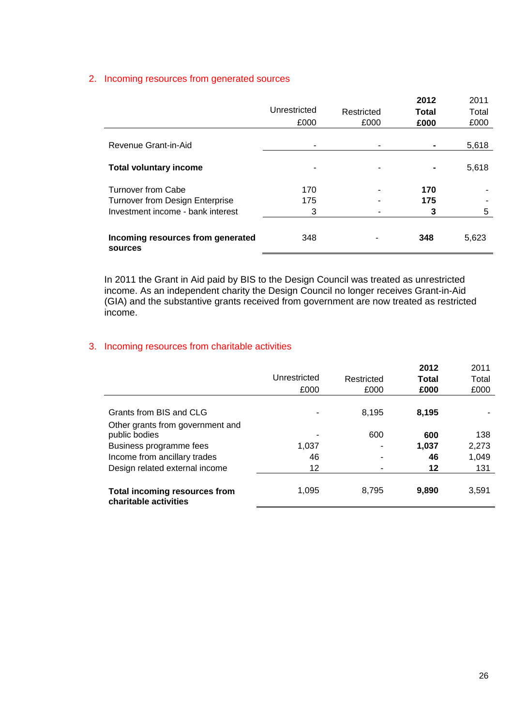# 2. Incoming resources from generated sources

|                                              |              |            | 2012           | 2011  |
|----------------------------------------------|--------------|------------|----------------|-------|
|                                              | Unrestricted | Restricted | Total          | Total |
|                                              | £000         | £000       | £000           | £000  |
|                                              |              |            |                |       |
| Revenue Grant-in-Aid                         | ٠            |            |                | 5,618 |
|                                              |              |            |                |       |
| <b>Total voluntary income</b>                | ٠            |            | $\blacksquare$ | 5,618 |
| <b>Turnover from Cabe</b>                    | 170          |            | 170            |       |
| <b>Turnover from Design Enterprise</b>       | 175          |            | 175            |       |
| Investment income - bank interest            | 3            |            |                | 5     |
|                                              |              |            |                |       |
| Incoming resources from generated<br>sources | 348          |            | 348            | 5,623 |

In 2011 the Grant in Aid paid by BIS to the Design Council was treated as unrestricted income. As an independent charity the Design Council no longer receives Grant-in-Aid (GIA) and the substantive grants received from government are now treated as restricted income.

# 3. Incoming resources from charitable activities

|                                                               | Unrestricted<br>£000 | Restricted<br>£000 | 2012<br>Total<br>£000 | 2011<br>Total<br>£000 |
|---------------------------------------------------------------|----------------------|--------------------|-----------------------|-----------------------|
| Grants from BIS and CLG                                       |                      | 8,195              | 8,195                 |                       |
| Other grants from government and<br>public bodies             |                      | 600                | 600                   | 138                   |
| Business programme fees                                       | 1,037                |                    | 1,037                 | 2,273                 |
| Income from ancillary trades                                  | 46                   |                    | 46                    | 1,049                 |
| Design related external income                                | 12                   |                    | 12                    | 131                   |
| <b>Total incoming resources from</b><br>charitable activities | 1,095                | 8.795              | 9.890                 | 3,591                 |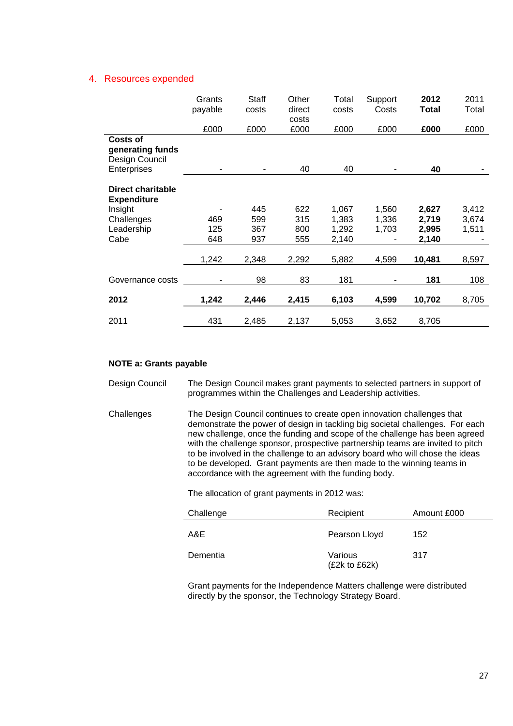#### 4. Resources expended

|                                                       | Grants<br>payable | <b>Staff</b><br>costs | Other<br>direct<br>costs | Total<br>costs | Support<br>Costs | 2012<br>Total | 2011<br>Total |
|-------------------------------------------------------|-------------------|-----------------------|--------------------------|----------------|------------------|---------------|---------------|
|                                                       | £000              | £000                  | £000                     | £000           | £000             | £000          | £000          |
| <b>Costs of</b><br>generating funds<br>Design Council |                   |                       |                          |                |                  |               |               |
| Enterprises                                           |                   |                       | 40                       | 40             |                  | 40            |               |
| <b>Direct charitable</b><br><b>Expenditure</b>        |                   |                       |                          |                |                  |               |               |
| Insight                                               |                   | 445                   | 622                      | 1,067          | 1,560            | 2,627         | 3,412         |
| Challenges                                            | 469               | 599                   | 315                      | 1,383          | 1,336            | 2,719         | 3,674         |
| Leadership                                            | 125               | 367                   | 800                      | 1,292          | 1,703            | 2,995         | 1,511         |
| Cabe                                                  | 648               | 937                   | 555                      | 2,140          |                  | 2,140         |               |
|                                                       | 1,242             | 2,348                 | 2,292                    | 5,882          | 4,599            | 10,481        | 8,597         |
| Governance costs                                      |                   | 98                    | 83                       | 181            |                  | 181           | 108           |
| 2012                                                  | 1,242             | 2,446                 | 2,415                    | 6,103          | 4,599            | 10,702        | 8,705         |
| 2011                                                  | 431               | 2,485                 | 2,137                    | 5,053          | 3,652            | 8,705         |               |

## **NOTE a: Grants payable**

- Design Council The Design Council makes grant payments to selected partners in support of programmes within the Challenges and Leadership activities.
- Challenges The Design Council continues to create open innovation challenges that demonstrate the power of design in tackling big societal challenges. For each new challenge, once the funding and scope of the challenge has been agreed with the challenge sponsor, prospective partnership teams are invited to pitch to be involved in the challenge to an advisory board who will chose the ideas to be developed. Grant payments are then made to the winning teams in accordance with the agreement with the funding body.

The allocation of grant payments in 2012 was:

| Challenge | Recipient                    | Amount £000 |
|-----------|------------------------------|-------------|
| A&E       | Pearson Lloyd                | 152         |
| Dementia  | Various<br>$(E2k)$ to $E62k$ | 317         |

Grant payments for the Independence Matters challenge were distributed directly by the sponsor, the Technology Strategy Board.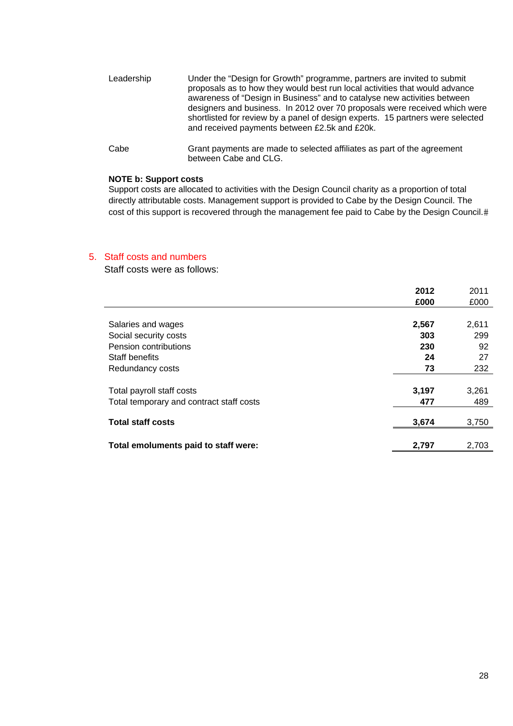- Leadership Under the "Design for Growth" programme, partners are invited to submit proposals as to how they would best run local activities that would advance awareness of "Design in Business" and to catalyse new activities between designers and business. In 2012 over 70 proposals were received which were shortlisted for review by a panel of design experts. 15 partners were selected and received payments between £2.5k and £20k.
- Cabe Grant payments are made to selected affiliates as part of the agreement between Cabe and CLG.

#### **NOTE b: Support costs**

Support costs are allocated to activities with the Design Council charity as a proportion of total directly attributable costs. Management support is provided to Cabe by the Design Council. The cost of this support is recovered through the management fee paid to Cabe by the Design Council.

#### 5. Staff costs and numbers

Staff costs were as follows:

|                                          | 2012  | 2011  |
|------------------------------------------|-------|-------|
|                                          | £000  | £000  |
|                                          |       |       |
| Salaries and wages                       | 2,567 | 2,611 |
| Social security costs                    | 303   | 299   |
| Pension contributions                    | 230   | 92    |
| Staff benefits                           | 24    | 27    |
| Redundancy costs                         | 73    | 232   |
|                                          |       |       |
| Total payroll staff costs                | 3,197 | 3,261 |
| Total temporary and contract staff costs | 477   | 489   |
|                                          |       |       |
| <b>Total staff costs</b>                 | 3,674 | 3,750 |
|                                          |       |       |
| Total emoluments paid to staff were:     | 2,797 | 2,703 |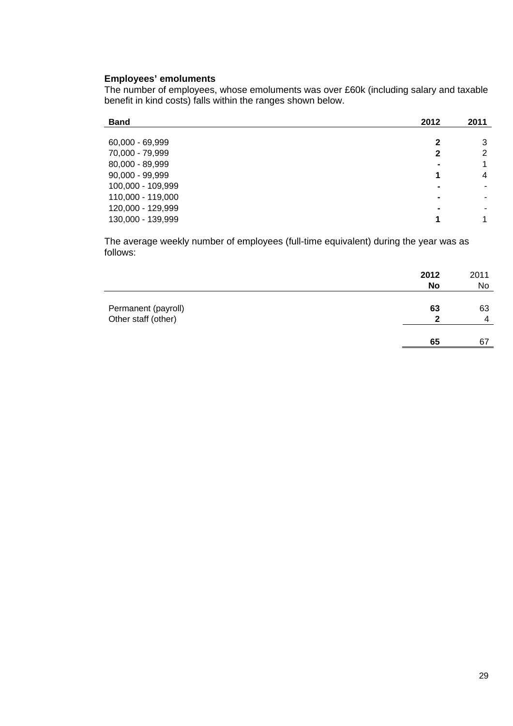# **Employees' emoluments**

The number of employees, whose emoluments was over £60k (including salary and taxable benefit in kind costs) falls within the ranges shown below.

| <b>Band</b>       | 2012           | 2011           |
|-------------------|----------------|----------------|
|                   |                |                |
| 60,000 - 69,999   | 2              | 3              |
| 70,000 - 79,999   | 2              | $\overline{2}$ |
| 80,000 - 89,999   | $\blacksquare$ | 1              |
| $90,000 - 99,999$ | 1              | 4              |
| 100,000 - 109,999 | $\blacksquare$ |                |
| 110,000 - 119,000 | $\blacksquare$ |                |
| 120,000 - 129,999 | $\blacksquare$ |                |
| 130,000 - 139,999 |                | 1              |

The average weekly number of employees (full-time equivalent) during the year was as follows:

|                                            | 2012<br><b>No</b> | 2011<br>No |
|--------------------------------------------|-------------------|------------|
| Permanent (payroll)<br>Other staff (other) | 63<br>າ           | 63<br>4    |
|                                            | 65                | 67         |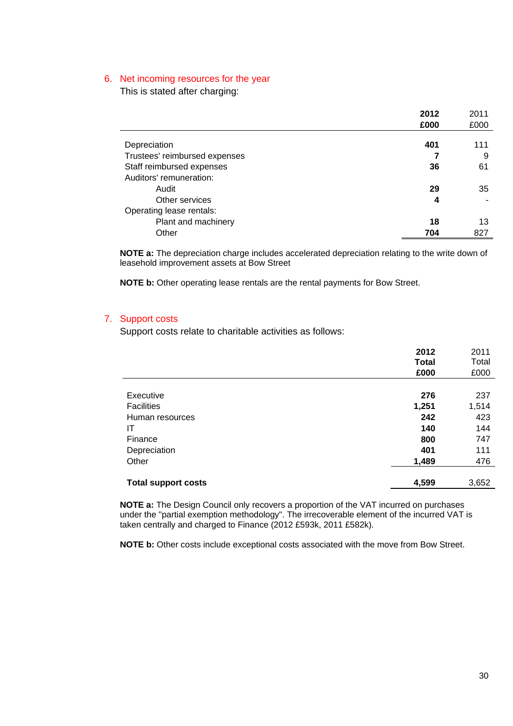#### 6. Net incoming resources for the year

This is stated after charging:

|                               | 2012 | 2011 |
|-------------------------------|------|------|
|                               | £000 | £000 |
|                               |      |      |
| Depreciation                  | 401  | 111  |
| Trustees' reimbursed expenses |      | 9    |
| Staff reimbursed expenses     | 36   | 61   |
| Auditors' remuneration:       |      |      |
| Audit                         | 29   | 35   |
| Other services                | 4    |      |
| Operating lease rentals:      |      |      |
| Plant and machinery           | 18   | 13   |
| Other                         | 704  | 827  |

**NOTE a:** The depreciation charge includes accelerated depreciation relating to the write down of leasehold improvement assets at Bow Street

**NOTE b:** Other operating lease rentals are the rental payments for Bow Street.

# 7. Support costs

Support costs relate to charitable activities as follows:

|                            | 2012         | 2011  |
|----------------------------|--------------|-------|
|                            | <b>Total</b> | Total |
|                            | £000         | £000  |
|                            |              |       |
| Executive                  | 276          | 237   |
| <b>Facilities</b>          | 1,251        | 1,514 |
| Human resources            | 242          | 423   |
| ΙT                         | 140          | 144   |
| Finance                    | 800          | 747   |
| Depreciation               | 401          | 111   |
| Other                      | 1,489        | 476   |
|                            |              |       |
| <b>Total support costs</b> | 4,599        | 3,652 |
|                            |              |       |

**NOTE a:** The Design Council only recovers a proportion of the VAT incurred on purchases under the "partial exemption methodology". The irrecoverable element of the incurred VAT is taken centrally and charged to Finance (2012 £593k, 2011 £582k).

**NOTE b:** Other costs include exceptional costs associated with the move from Bow Street.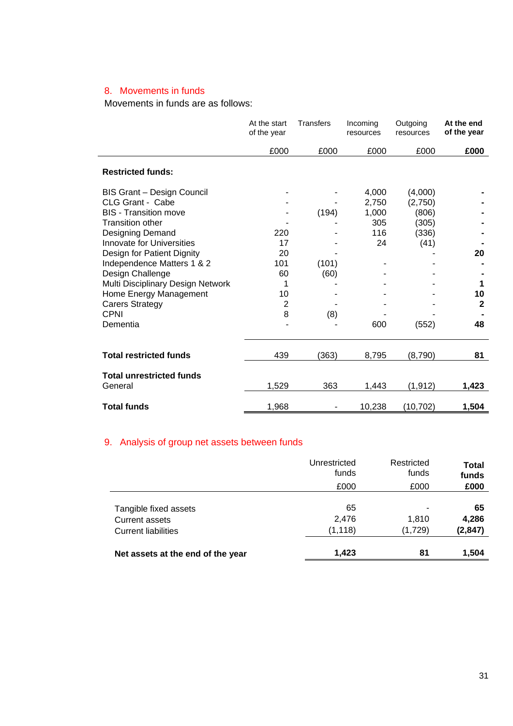# 8. Movements in funds

Movements in funds are as follows:

|                                   | At the start<br>of the year | <b>Transfers</b> | Incoming<br>resources | Outgoing<br>resources | At the end<br>of the year |
|-----------------------------------|-----------------------------|------------------|-----------------------|-----------------------|---------------------------|
|                                   | £000                        | £000             | £000                  | £000                  | £000                      |
| <b>Restricted funds:</b>          |                             |                  |                       |                       |                           |
| BIS Grant - Design Council        |                             |                  | 4,000                 | (4,000)               |                           |
| CLG Grant - Cabe                  |                             |                  | 2,750                 | (2,750)               |                           |
| <b>BIS</b> - Transition move      |                             | (194)            | 1,000                 | (806)                 |                           |
| <b>Transition other</b>           |                             |                  | 305                   | (305)                 |                           |
| Designing Demand                  | 220                         |                  | 116                   | (336)                 |                           |
| <b>Innovate for Universities</b>  | 17                          |                  | 24                    | (41)                  |                           |
| Design for Patient Dignity        | 20                          |                  |                       |                       | 20                        |
| Independence Matters 1 & 2        | 101                         | (101)            |                       |                       |                           |
| Design Challenge                  | 60                          | (60)             |                       |                       |                           |
| Multi Disciplinary Design Network | 1                           |                  |                       |                       | 1                         |
| Home Energy Management            | 10                          |                  |                       |                       | 10                        |
| <b>Carers Strategy</b>            | $\overline{2}$              |                  |                       |                       | $\mathbf{2}$              |
| <b>CPNI</b>                       | 8                           | (8)              |                       |                       |                           |
| Dementia                          |                             |                  | 600                   | (552)                 | 48                        |
| <b>Total restricted funds</b>     | 439                         | (363)            | 8,795                 | (8,790)               | 81                        |
| <b>Total unrestricted funds</b>   |                             |                  |                       |                       |                           |
| General                           | 1,529                       | 363              | 1,443                 | (1, 912)              | 1,423                     |
| <b>Total funds</b>                | 1,968                       |                  | 10,238                | (10, 702)             | 1,504                     |

# 9. Analysis of group net assets between funds

|                                                                              | Unrestricted<br>funds<br>£000 | Restricted<br>funds<br>£000 | <b>Total</b><br>funds<br>£000 |
|------------------------------------------------------------------------------|-------------------------------|-----------------------------|-------------------------------|
| Tangible fixed assets<br><b>Current assets</b><br><b>Current liabilities</b> | 65<br>2,476<br>(1, 118)       | 1,810<br>(1,729)            | 65<br>4,286<br>(2, 847)       |
| Net assets at the end of the year                                            | 1,423                         | 81                          | 1,504                         |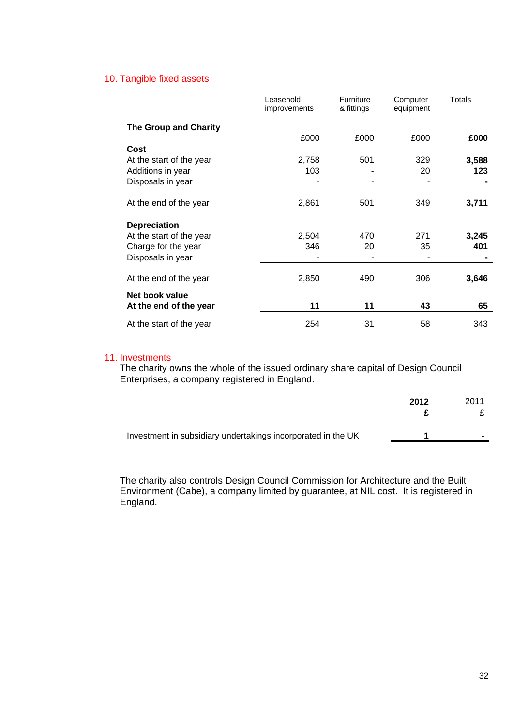# 10. Tangible fixed assets

|                              | Leasehold<br>improvements | Furniture<br>& fittings | Computer<br>equipment | Totals |
|------------------------------|---------------------------|-------------------------|-----------------------|--------|
| <b>The Group and Charity</b> |                           |                         |                       |        |
|                              | £000                      | £000                    | £000                  | £000   |
| Cost                         |                           |                         |                       |        |
| At the start of the year     | 2,758                     | 501                     | 329                   | 3,588  |
| Additions in year            | 103                       |                         | 20                    | 123    |
| Disposals in year            |                           |                         |                       |        |
| At the end of the year       | 2,861                     | 501                     | 349                   | 3,711  |
| <b>Depreciation</b>          |                           |                         |                       |        |
| At the start of the year     | 2,504                     | 470                     | 271                   | 3,245  |
| Charge for the year          | 346                       | 20                      | 35                    | 401    |
| Disposals in year            |                           |                         |                       |        |
| At the end of the year       | 2,850                     | 490                     | 306                   | 3,646  |
| Net book value               |                           |                         |                       |        |
| At the end of the year       | 11                        | 11                      | 43                    | 65     |
| At the start of the year     | 254                       | 31                      | 58                    | 343    |

#### 11. Investments

The charity owns the whole of the issued ordinary share capital of Design Council Enterprises, a company registered in England.

|                                                              | 2012 | 2011                     |
|--------------------------------------------------------------|------|--------------------------|
| Investment in subsidiary undertakings incorporated in the UK |      | $\overline{\phantom{a}}$ |

The charity also controls Design Council Commission for Architecture and the Built Environment (Cabe), a company limited by guarantee, at NIL cost. It is registered in England.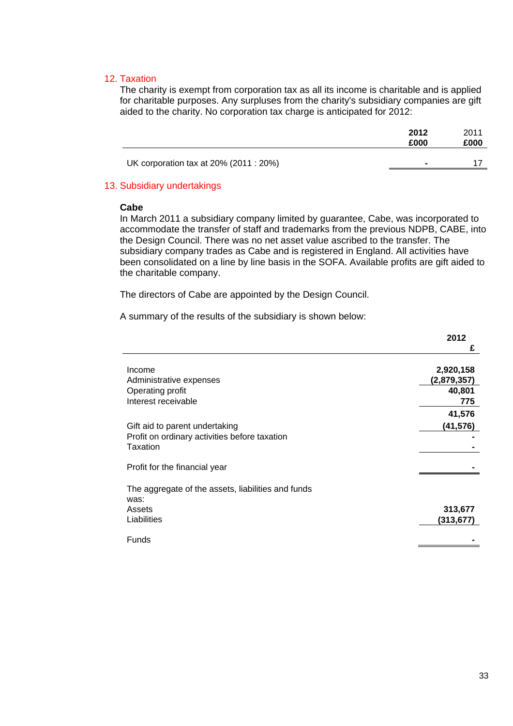## 12. Taxation

The charity is exempt from corporation tax as all its income is charitable and is applied for charitable purposes. Any surpluses from the charity's subsidiary companies are gift aided to the charity. No corporation tax charge is anticipated for 2012:

|                                        | 2012<br>£000   | 2011<br>£000 |
|----------------------------------------|----------------|--------------|
| UK corporation tax at 20% (2011 : 20%) | $\blacksquare$ |              |
|                                        |                |              |

# 13. Subsidiary undertakings

#### **Cabe**

In March 2011 a subsidiary company limited by guarantee, Cabe, was incorporated to accommodate the transfer of staff and trademarks from the previous NDPB, CABE, into the Design Council. There was no net asset value ascribed to the transfer. The subsidiary company trades as Cabe and is registered in England. All activities have been consolidated on a line by line basis in the SOFA. Available profits are gift aided to the charitable company.

The directors of Cabe are appointed by the Design Council.

A summary of the results of the subsidiary is shown below:

|                                                            | 2012                     |
|------------------------------------------------------------|--------------------------|
|                                                            | £                        |
| Income<br>Administrative expenses                          | 2,920,158<br>(2,879,357) |
| Operating profit                                           | 40,801                   |
| Interest receivable                                        | 775                      |
|                                                            | 41,576                   |
| Gift aid to parent undertaking                             | (41,576)                 |
| Profit on ordinary activities before taxation              |                          |
| Taxation                                                   |                          |
| Profit for the financial year                              |                          |
| The aggregate of the assets, liabilities and funds<br>was: |                          |
| Assets                                                     | 313,677                  |
| Liabilities                                                | (313,677)                |
| <b>Funds</b>                                               |                          |
|                                                            |                          |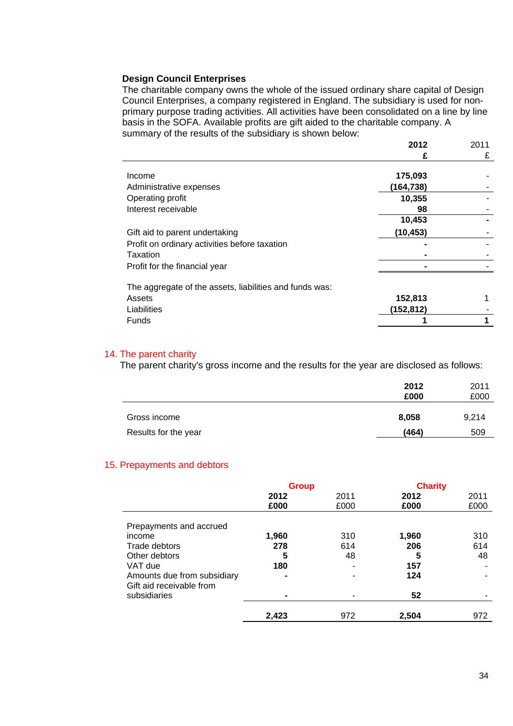#### **Design Council Enterprises**

The charitable company owns the whole of the issued ordinary share capital of Design Council Enterprises, a company registered in England. The subsidiary is used for nonprimary purpose trading activities. All activities have been consolidated on a line by line basis in the SOFA. Available profits are gift aided to the charitable company. A summary of the results of the subsidiary is shown below:

|                                                         | 2012       | 2011 |
|---------------------------------------------------------|------------|------|
|                                                         | £          | £    |
|                                                         |            |      |
| Income                                                  | 175,093    |      |
| Administrative expenses                                 | (164, 738) |      |
| Operating profit                                        | 10,355     |      |
| Interest receivable                                     | 98         |      |
|                                                         | 10,453     |      |
| Gift aid to parent undertaking                          | (10, 453)  |      |
| Profit on ordinary activities before taxation           |            |      |
| Taxation                                                |            |      |
| Profit for the financial year                           |            |      |
| The aggregate of the assets, liabilities and funds was: |            |      |
| Assets                                                  | 152,813    |      |
| Liabilities                                             | (152,812)  |      |
| Funds                                                   |            |      |

# 14. The parent charity

The parent charity's gross income and the results for the year are disclosed as follows:

|                      | 2012<br>£000 | 2011<br>£000 |
|----------------------|--------------|--------------|
| Gross income         | 8,058        | 9,214        |
| Results for the year | (464)        | 509          |

#### 15. Prepayments and debtors

|                                                         | <b>Group</b> |      | <b>Charity</b> |      |
|---------------------------------------------------------|--------------|------|----------------|------|
|                                                         | 2012         | 2011 | 2012           | 2011 |
|                                                         | £000         | £000 | £000           | £000 |
| Prepayments and accrued<br>income                       | 1,960        | 310  | 1,960          | 310  |
| Trade debtors                                           | 278          | 614  | 206            | 614  |
| Other debtors                                           | 5            | 48   | 5              | 48   |
| VAT due                                                 | 180          |      | 157            |      |
| Amounts due from subsidiary<br>Gift aid receivable from | -            |      | 124            |      |
| subsidiaries                                            |              |      | 52             |      |
|                                                         | 2,423        | 972  | 2.504          | 972  |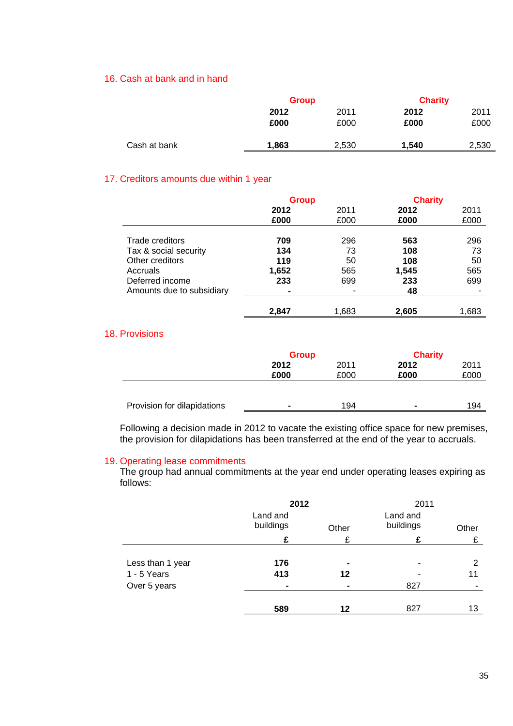# 16. Cash at bank and in hand

|              | <b>Group</b> |       | <b>Charity</b> |       |
|--------------|--------------|-------|----------------|-------|
|              | 2012         | 2011  | 2012           | 2011  |
|              | £000         | £000  | £000           | £000  |
|              |              |       |                |       |
| Cash at bank | 1,863        | 2,530 | 1.540          | 2,530 |
|              |              |       |                |       |

# 17. Creditors amounts due within 1 year

|                           | <b>Group</b> |       | <b>Charity</b> |       |
|---------------------------|--------------|-------|----------------|-------|
|                           | 2012         | 2011  | 2012           | 2011  |
|                           | £000         | £000  | £000           | £000  |
|                           |              |       |                |       |
| Trade creditors           | 709          | 296   | 563            | 296   |
| Tax & social security     | 134          | 73    | 108            | 73    |
| Other creditors           | 119          | 50    | 108            | 50    |
| Accruals                  | 1,652        | 565   | 1,545          | 565   |
| Deferred income           | 233          | 699   | 233            | 699   |
| Amounts due to subsidiary | ۰            |       | 48             |       |
|                           |              |       |                |       |
|                           | 2,847        | 1,683 | 2,605          | 1,683 |

## 18. Provisions

|                             | <b>Group</b>   |      | <b>Charity</b> |      |
|-----------------------------|----------------|------|----------------|------|
|                             | 2012           | 2011 | 2012           | 2011 |
|                             | £000           | £000 | £000           | £000 |
|                             |                |      |                |      |
| Provision for dilapidations | $\blacksquare$ | 194  | ۰              | 194  |

Following a decision made in 2012 to vacate the existing office space for new premises, the provision for dilapidations has been transferred at the end of the year to accruals.

# 19. Operating lease commitments

The group had annual commitments at the year end under operating leases expiring as follows:

|                  | 2012<br>Land and |                | 2011<br>Land and |       |
|------------------|------------------|----------------|------------------|-------|
|                  | buildings        | Other          | buildings        | Other |
|                  | £                | £              | £                | £     |
|                  |                  |                |                  |       |
| Less than 1 year | 176              | $\blacksquare$ | ۰                | 2     |
| 1 - 5 Years      | 413              | 12             |                  | 11    |
| Over 5 years     |                  |                | 827              |       |
|                  |                  |                |                  |       |
|                  | 589              | 12             | 827              | 13    |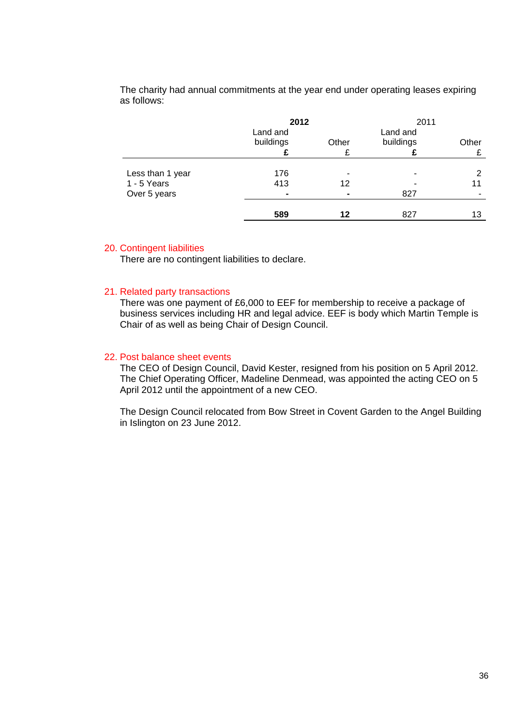The charity had annual commitments at the year end under operating leases expiring as follows:

|                                 | 2012<br>Land and |            | 2011<br>Land and |            |
|---------------------------------|------------------|------------|------------------|------------|
|                                 | buildings        | Other<br>£ | buildings        | Other<br>£ |
|                                 |                  |            |                  | 2          |
| Less than 1 year<br>1 - 5 Years | 176<br>413       | ۰<br>12    |                  | 11         |
| Over 5 years                    |                  | ٠          | 827              |            |
|                                 | 589              | 12         | 827              | 13         |

#### 20. Contingent liabilities

There are no contingent liabilities to declare.

#### 21. Related party transactions

There was one payment of £6,000 to EEF for membership to receive a package of business services including HR and legal advice. EEF is body which Martin Temple is Chair of as well as being Chair of Design Council.

# 22. Post balance sheet events

The CEO of Design Council, David Kester, resigned from his position on 5 April 2012. The Chief Operating Officer, Madeline Denmead, was appointed the acting CEO on 5 April 2012 until the appointment of a new CEO.

The Design Council relocated from Bow Street in Covent Garden to the Angel Building in Islington on 23 June 2012.